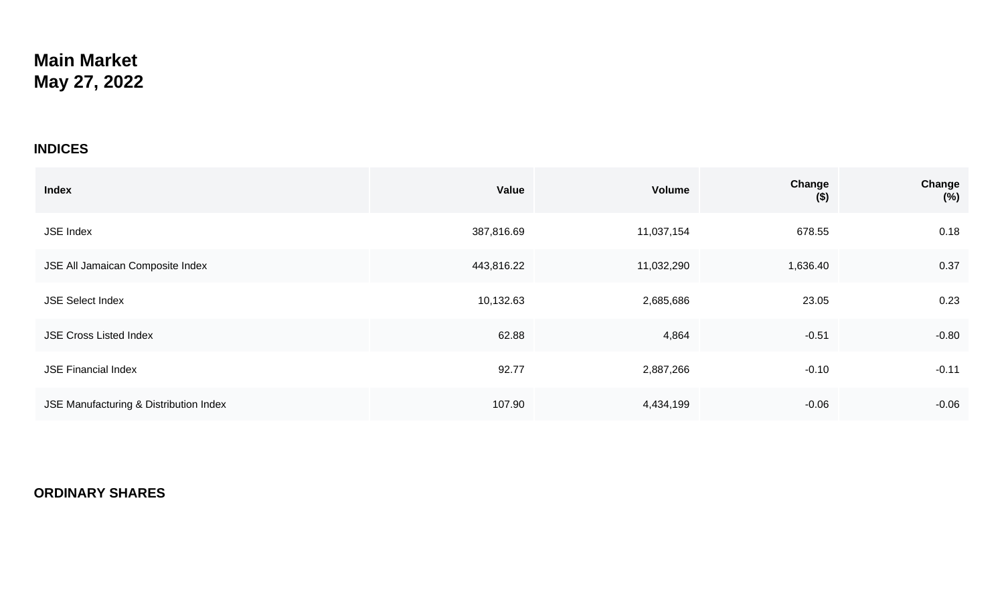## **Main Market May 27, 2022**

## **INDICES**

| <b>Index</b>                           | <b>Value</b> | Volume     | Change<br>$($ \$) | Change<br>$(\%)$ |
|----------------------------------------|--------------|------------|-------------------|------------------|
| <b>JSE Index</b>                       | 387,816.69   | 11,037,154 | 678.55            | 0.18             |
| JSE All Jamaican Composite Index       | 443,816.22   | 11,032,290 | 1,636.40          | 0.37             |
| <b>JSE Select Index</b>                | 10,132.63    | 2,685,686  | 23.05             | 0.23             |
| <b>JSE Cross Listed Index</b>          | 62.88        | 4,864      | $-0.51$           | $-0.80$          |
| <b>JSE Financial Index</b>             | 92.77        | 2,887,266  | $-0.10$           | $-0.11$          |
| JSE Manufacturing & Distribution Index | 107.90       | 4,434,199  | $-0.06$           | $-0.06$          |

## **ORDINARY SHARES**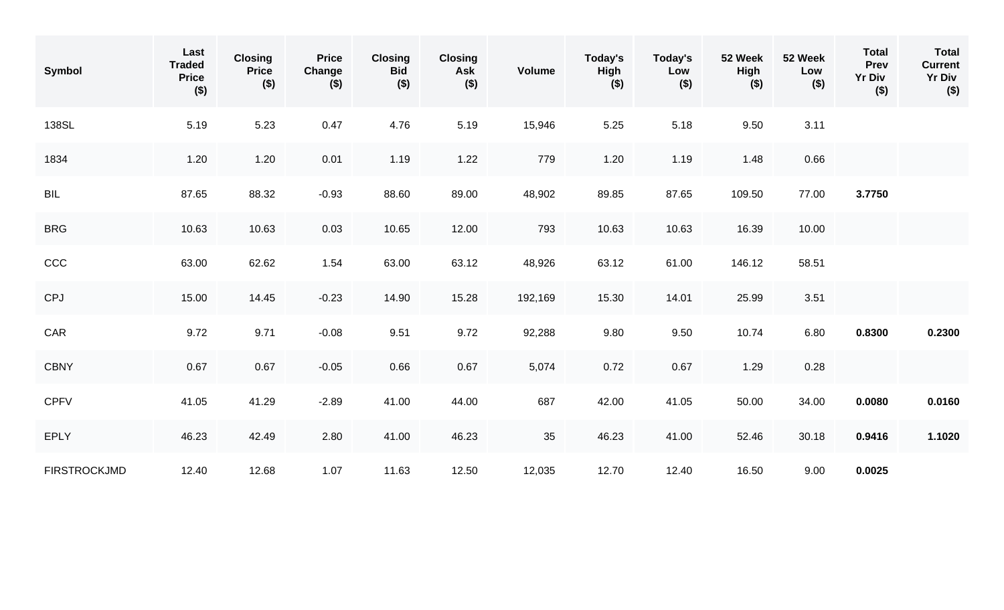| Symbol              | Last<br><b>Traded</b><br><b>Price</b><br>$($ \$) | <b>Closing</b><br><b>Price</b><br>$($ \$) | <b>Price</b><br>Change<br>$($ \$) | <b>Closing</b><br><b>Bid</b><br>$($ \$) | <b>Closing</b><br>Ask<br>$($ \$) | <b>Volume</b> | Today's<br>High<br>$($ \$) | Today's<br>Low<br>$($ \$) | 52 Week<br><b>High</b><br>$($ \$) | 52 Week<br>Low<br>$($ \$) | <b>Total</b><br>Prev<br><b>Yr Div</b><br>$($ \$) | <b>Total</b><br><b>Current</b><br><b>Yr Div</b><br>$($ \$) |
|---------------------|--------------------------------------------------|-------------------------------------------|-----------------------------------|-----------------------------------------|----------------------------------|---------------|----------------------------|---------------------------|-----------------------------------|---------------------------|--------------------------------------------------|------------------------------------------------------------|
| 138SL               | 5.19                                             | 5.23                                      | 0.47                              | 4.76                                    | 5.19                             | 15,946        | 5.25                       | 5.18                      | 9.50                              | 3.11                      |                                                  |                                                            |
| 1834                | 1.20                                             | 1.20                                      | 0.01                              | 1.19                                    | 1.22                             | 779           | 1.20                       | 1.19                      | 1.48                              | 0.66                      |                                                  |                                                            |
| <b>BIL</b>          | 87.65                                            | 88.32                                     | $-0.93$                           | 88.60                                   | 89.00                            | 48,902        | 89.85                      | 87.65                     | 109.50                            | 77.00                     | 3.7750                                           |                                                            |
| <b>BRG</b>          | 10.63                                            | 10.63                                     | 0.03                              | 10.65                                   | 12.00                            | 793           | 10.63                      | 10.63                     | 16.39                             | 10.00                     |                                                  |                                                            |
| CCC                 | 63.00                                            | 62.62                                     | 1.54                              | 63.00                                   | 63.12                            | 48,926        | 63.12                      | 61.00                     | 146.12                            | 58.51                     |                                                  |                                                            |
| <b>CPJ</b>          | 15.00                                            | 14.45                                     | $-0.23$                           | 14.90                                   | 15.28                            | 192,169       | 15.30                      | 14.01                     | 25.99                             | 3.51                      |                                                  |                                                            |
| CAR                 | 9.72                                             | 9.71                                      | $-0.08$                           | 9.51                                    | 9.72                             | 92,288        | 9.80                       | 9.50                      | 10.74                             | 6.80                      | 0.8300                                           | 0.2300                                                     |
| <b>CBNY</b>         | 0.67                                             | 0.67                                      | $-0.05$                           | 0.66                                    | 0.67                             | 5,074         | 0.72                       | 0.67                      | 1.29                              | 0.28                      |                                                  |                                                            |
| <b>CPFV</b>         | 41.05                                            | 41.29                                     | $-2.89$                           | 41.00                                   | 44.00                            | 687           | 42.00                      | 41.05                     | 50.00                             | 34.00                     | 0.0080                                           | 0.0160                                                     |
| <b>EPLY</b>         | 46.23                                            | 42.49                                     | 2.80                              | 41.00                                   | 46.23                            | 35            | 46.23                      | 41.00                     | 52.46                             | 30.18                     | 0.9416                                           | 1.1020                                                     |
| <b>FIRSTROCKJMD</b> | 12.40                                            | 12.68                                     | 1.07                              | 11.63                                   | 12.50                            | 12,035        | 12.70                      | 12.40                     | 16.50                             | 9.00                      | 0.0025                                           |                                                            |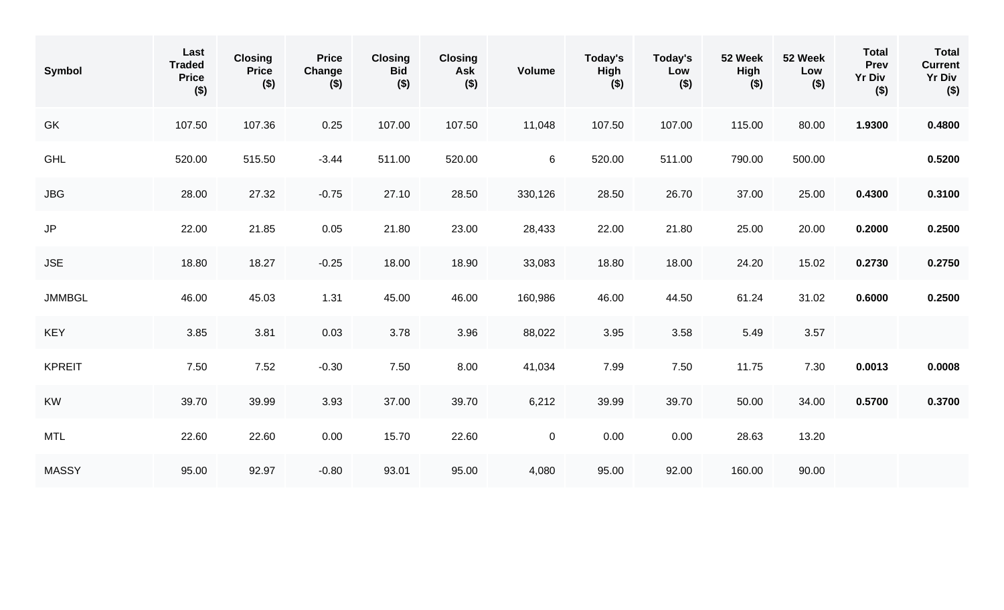| <b>Symbol</b> | Last<br><b>Traded</b><br><b>Price</b><br>$($ \$) | <b>Closing</b><br><b>Price</b><br>$($ \$) | <b>Price</b><br>Change<br>$($ \$) | <b>Closing</b><br><b>Bid</b><br>$($ \$) | <b>Closing</b><br>Ask<br>$($ \$) | <b>Volume</b> | Today's<br><b>High</b><br>$($ \$) | Today's<br>Low<br>$($ \$) | 52 Week<br><b>High</b><br>$($ \$) | 52 Week<br>Low<br>$($ \$) | <b>Total</b><br>Prev<br><b>Yr Div</b><br>$($ \$) | <b>Total</b><br><b>Current</b><br><b>Yr Div</b><br>$($ \$) |
|---------------|--------------------------------------------------|-------------------------------------------|-----------------------------------|-----------------------------------------|----------------------------------|---------------|-----------------------------------|---------------------------|-----------------------------------|---------------------------|--------------------------------------------------|------------------------------------------------------------|
| GK            | 107.50                                           | 107.36                                    | 0.25                              | 107.00                                  | 107.50                           | 11,048        | 107.50                            | 107.00                    | 115.00                            | 80.00                     | 1.9300                                           | 0.4800                                                     |
| <b>GHL</b>    | 520.00                                           | 515.50                                    | $-3.44$                           | 511.00                                  | 520.00                           | 6             | 520.00                            | 511.00                    | 790.00                            | 500.00                    |                                                  | 0.5200                                                     |
| <b>JBG</b>    | 28.00                                            | 27.32                                     | $-0.75$                           | 27.10                                   | 28.50                            | 330,126       | 28.50                             | 26.70                     | 37.00                             | 25.00                     | 0.4300                                           | 0.3100                                                     |
| $\mathsf{JP}$ | 22.00                                            | 21.85                                     | 0.05                              | 21.80                                   | 23.00                            | 28,433        | 22.00                             | 21.80                     | 25.00                             | 20.00                     | 0.2000                                           | 0.2500                                                     |
| <b>JSE</b>    | 18.80                                            | 18.27                                     | $-0.25$                           | 18.00                                   | 18.90                            | 33,083        | 18.80                             | 18.00                     | 24.20                             | 15.02                     | 0.2730                                           | 0.2750                                                     |
| <b>JMMBGL</b> | 46.00                                            | 45.03                                     | 1.31                              | 45.00                                   | 46.00                            | 160,986       | 46.00                             | 44.50                     | 61.24                             | 31.02                     | 0.6000                                           | 0.2500                                                     |
| <b>KEY</b>    | 3.85                                             | 3.81                                      | 0.03                              | 3.78                                    | 3.96                             | 88,022        | 3.95                              | 3.58                      | 5.49                              | $3.57$                    |                                                  |                                                            |
| <b>KPREIT</b> | 7.50                                             | 7.52                                      | $-0.30$                           | 7.50                                    | 8.00                             | 41,034        | 7.99                              | 7.50                      | 11.75                             | 7.30                      | 0.0013                                           | 0.0008                                                     |
| <b>KW</b>     | 39.70                                            | 39.99                                     | 3.93                              | 37.00                                   | 39.70                            | 6,212         | 39.99                             | 39.70                     | 50.00                             | 34.00                     | 0.5700                                           | 0.3700                                                     |
| <b>MTL</b>    | 22.60                                            | 22.60                                     | 0.00                              | 15.70                                   | 22.60                            | $\pmb{0}$     | 0.00                              | 0.00                      | 28.63                             | 13.20                     |                                                  |                                                            |
| <b>MASSY</b>  | 95.00                                            | 92.97                                     | $-0.80$                           | 93.01                                   | 95.00                            | 4,080         | 95.00                             | 92.00                     | 160.00                            | 90.00                     |                                                  |                                                            |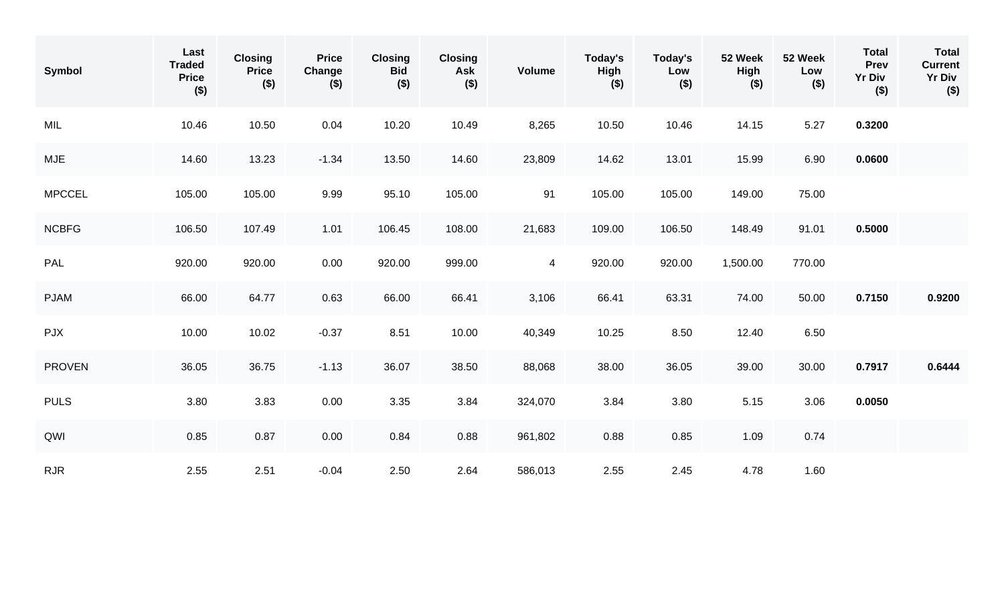| Symbol        | Last<br><b>Traded</b><br><b>Price</b><br>$($ \$) | <b>Closing</b><br><b>Price</b><br>$($ \$) | <b>Price</b><br>Change<br>$($ \$) | <b>Closing</b><br><b>Bid</b><br>$($ \$) | <b>Closing</b><br>Ask<br>$($ \$) | <b>Volume</b>  | Today's<br>High<br>$($ \$) | Today's<br>Low<br>$($ \$) | 52 Week<br><b>High</b><br>$($ \$) | 52 Week<br>Low<br>$($ \$) | <b>Total</b><br>Prev<br><b>Yr Div</b><br>$($ \$) | <b>Total</b><br><b>Current</b><br><b>Yr Div</b><br>$($ \$) |
|---------------|--------------------------------------------------|-------------------------------------------|-----------------------------------|-----------------------------------------|----------------------------------|----------------|----------------------------|---------------------------|-----------------------------------|---------------------------|--------------------------------------------------|------------------------------------------------------------|
| MIL           | 10.46                                            | 10.50                                     | 0.04                              | 10.20                                   | 10.49                            | 8,265          | 10.50                      | 10.46                     | 14.15                             | 5.27                      | 0.3200                                           |                                                            |
| <b>MJE</b>    | 14.60                                            | 13.23                                     | $-1.34$                           | 13.50                                   | 14.60                            | 23,809         | 14.62                      | 13.01                     | 15.99                             | 6.90                      | 0.0600                                           |                                                            |
| <b>MPCCEL</b> | 105.00                                           | 105.00                                    | 9.99                              | 95.10                                   | 105.00                           | 91             | 105.00                     | 105.00                    | 149.00                            | 75.00                     |                                                  |                                                            |
| <b>NCBFG</b>  | 106.50                                           | 107.49                                    | 1.01                              | 106.45                                  | 108.00                           | 21,683         | 109.00                     | 106.50                    | 148.49                            | 91.01                     | 0.5000                                           |                                                            |
| PAL           | 920.00                                           | 920.00                                    | 0.00                              | 920.00                                  | 999.00                           | $\overline{4}$ | 920.00                     | 920.00                    | 1,500.00                          | 770.00                    |                                                  |                                                            |
| <b>PJAM</b>   | 66.00                                            | 64.77                                     | 0.63                              | 66.00                                   | 66.41                            | 3,106          | 66.41                      | 63.31                     | 74.00                             | 50.00                     | 0.7150                                           | 0.9200                                                     |
| <b>PJX</b>    | 10.00                                            | 10.02                                     | $-0.37$                           | 8.51                                    | 10.00                            | 40,349         | 10.25                      | 8.50                      | 12.40                             | 6.50                      |                                                  |                                                            |
| <b>PROVEN</b> | 36.05                                            | 36.75                                     | $-1.13$                           | 36.07                                   | 38.50                            | 88,068         | 38.00                      | 36.05                     | 39.00                             | 30.00                     | 0.7917                                           | 0.6444                                                     |
| <b>PULS</b>   | 3.80                                             | 3.83                                      | 0.00                              | 3.35                                    | 3.84                             | 324,070        | 3.84                       | 3.80                      | 5.15                              | 3.06                      | 0.0050                                           |                                                            |
| QWI           | 0.85                                             | 0.87                                      | 0.00                              | 0.84                                    | 0.88                             | 961,802        | 0.88                       | 0.85                      | 1.09                              | 0.74                      |                                                  |                                                            |
| RJR           | 2.55                                             | 2.51                                      | $-0.04$                           | 2.50                                    | 2.64                             | 586,013        | 2.55                       | 2.45                      | 4.78                              | 1.60                      |                                                  |                                                            |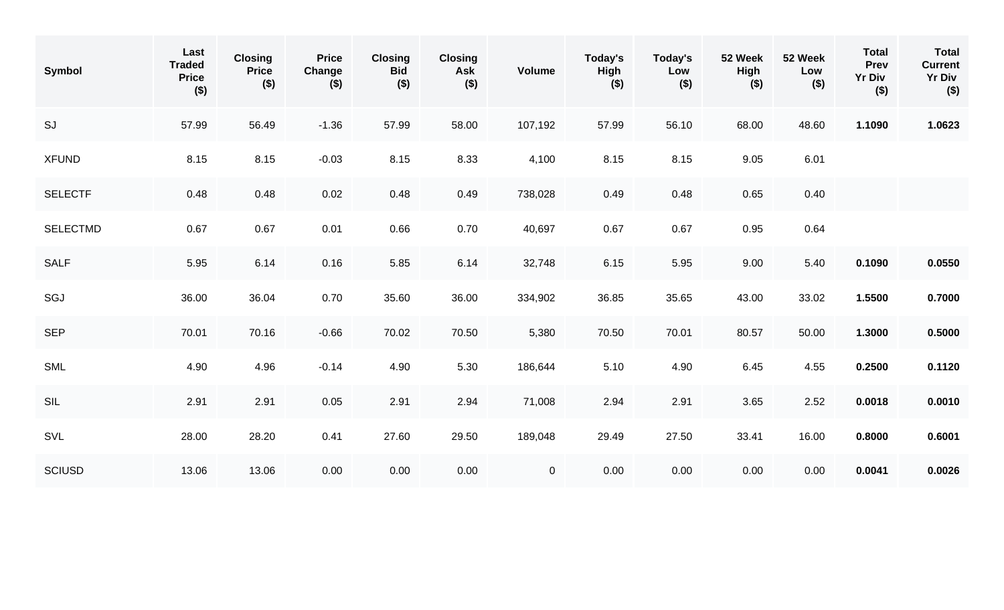| Symbol          | Last<br><b>Traded</b><br><b>Price</b><br>$($ \$) | <b>Closing</b><br><b>Price</b><br>$($ \$) | <b>Price</b><br>Change<br>$($ \$) | <b>Closing</b><br><b>Bid</b><br>$($ \$) | <b>Closing</b><br>Ask<br>$($ \$) | <b>Volume</b> | Today's<br>High<br>$($ \$) | Today's<br>Low<br>$($ \$) | 52 Week<br><b>High</b><br>$($ \$) | 52 Week<br>Low<br>$($ \$) | <b>Total</b><br>Prev<br><b>Yr Div</b><br>$($ \$) | <b>Total</b><br><b>Current</b><br><b>Yr Div</b><br>$($ \$) |
|-----------------|--------------------------------------------------|-------------------------------------------|-----------------------------------|-----------------------------------------|----------------------------------|---------------|----------------------------|---------------------------|-----------------------------------|---------------------------|--------------------------------------------------|------------------------------------------------------------|
| SJ              | 57.99                                            | 56.49                                     | $-1.36$                           | 57.99                                   | 58.00                            | 107,192       | 57.99                      | 56.10                     | 68.00                             | 48.60                     | 1.1090                                           | 1.0623                                                     |
| <b>XFUND</b>    | 8.15                                             | 8.15                                      | $-0.03$                           | 8.15                                    | 8.33                             | 4,100         | 8.15                       | 8.15                      | 9.05                              | 6.01                      |                                                  |                                                            |
| <b>SELECTF</b>  | 0.48                                             | 0.48                                      | 0.02                              | 0.48                                    | 0.49                             | 738,028       | 0.49                       | 0.48                      | 0.65                              | 0.40                      |                                                  |                                                            |
| <b>SELECTMD</b> | 0.67                                             | 0.67                                      | 0.01                              | 0.66                                    | 0.70                             | 40,697        | 0.67                       | 0.67                      | 0.95                              | 0.64                      |                                                  |                                                            |
| <b>SALF</b>     | 5.95                                             | 6.14                                      | 0.16                              | 5.85                                    | 6.14                             | 32,748        | 6.15                       | 5.95                      | 9.00                              | 5.40                      | 0.1090                                           | 0.0550                                                     |
| SGJ             | 36.00                                            | 36.04                                     | 0.70                              | 35.60                                   | 36.00                            | 334,902       | 36.85                      | 35.65                     | 43.00                             | 33.02                     | 1.5500                                           | 0.7000                                                     |
| <b>SEP</b>      | 70.01                                            | 70.16                                     | $-0.66$                           | 70.02                                   | 70.50                            | 5,380         | 70.50                      | 70.01                     | 80.57                             | 50.00                     | 1.3000                                           | 0.5000                                                     |
| SML             | 4.90                                             | 4.96                                      | $-0.14$                           | 4.90                                    | 5.30                             | 186,644       | 5.10                       | 4.90                      | 6.45                              | 4.55                      | 0.2500                                           | 0.1120                                                     |
| SIL             | 2.91                                             | 2.91                                      | 0.05                              | 2.91                                    | 2.94                             | 71,008        | 2.94                       | 2.91                      | 3.65                              | 2.52                      | 0.0018                                           | 0.0010                                                     |
| SVL             | 28.00                                            | 28.20                                     | 0.41                              | 27.60                                   | 29.50                            | 189,048       | 29.49                      | 27.50                     | 33.41                             | 16.00                     | 0.8000                                           | 0.6001                                                     |
| <b>SCIUSD</b>   | 13.06                                            | 13.06                                     | 0.00                              | 0.00                                    | 0.00                             | $\mathbf 0$   | 0.00                       | 0.00                      | 0.00                              | 0.00                      | 0.0041                                           | 0.0026                                                     |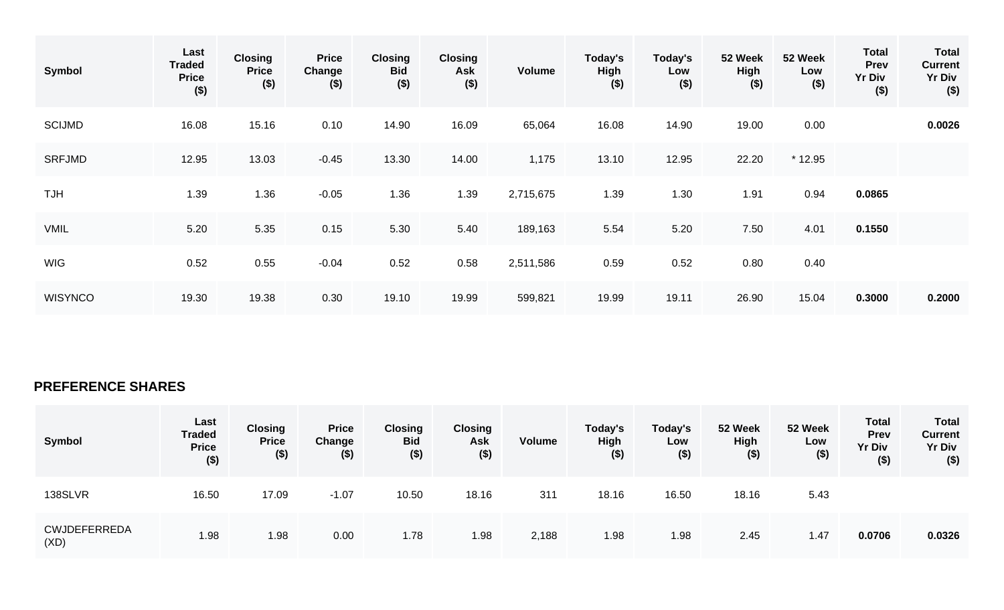| Symbol         | Last<br><b>Traded</b><br><b>Price</b><br>$($ \$) | <b>Closing</b><br><b>Price</b><br>$($ \$) | <b>Price</b><br>Change<br>$($ \$) | <b>Closing</b><br><b>Bid</b><br>( \$) | <b>Closing</b><br>Ask<br>$($ \$) | Volume    | Today's<br><b>High</b><br>$($ \$) | Today's<br>Low<br>$($ \$) | 52 Week<br><b>High</b><br>$($ \$) | 52 Week<br>Low<br>$($ \$) | <b>Total</b><br><b>Prev</b><br><b>Yr Div</b><br>$($ \$) | <b>Total</b><br><b>Current</b><br><b>Yr Div</b><br>$($ \$) |
|----------------|--------------------------------------------------|-------------------------------------------|-----------------------------------|---------------------------------------|----------------------------------|-----------|-----------------------------------|---------------------------|-----------------------------------|---------------------------|---------------------------------------------------------|------------------------------------------------------------|
| <b>SCIJMD</b>  | 16.08                                            | 15.16                                     | 0.10                              | 14.90                                 | 16.09                            | 65,064    | 16.08                             | 14.90                     | 19.00                             | 0.00                      |                                                         | 0.0026                                                     |
| <b>SRFJMD</b>  | 12.95                                            | 13.03                                     | $-0.45$                           | 13.30                                 | 14.00                            | 1,175     | 13.10                             | 12.95                     | 22.20                             | $*12.95$                  |                                                         |                                                            |
| <b>HUT</b>     | 1.39                                             | 1.36                                      | $-0.05$                           | 1.36                                  | 1.39                             | 2,715,675 | 1.39                              | 1.30                      | 1.91                              | 0.94                      | 0.0865                                                  |                                                            |
| <b>VMIL</b>    | 5.20                                             | 5.35                                      | 0.15                              | 5.30                                  | 5.40                             | 189,163   | 5.54                              | 5.20                      | 7.50                              | 4.01                      | 0.1550                                                  |                                                            |
| <b>WIG</b>     | 0.52                                             | 0.55                                      | $-0.04$                           | 0.52                                  | 0.58                             | 2,511,586 | 0.59                              | 0.52                      | 0.80                              | 0.40                      |                                                         |                                                            |
| <b>WISYNCO</b> | 19.30                                            | 19.38                                     | 0.30                              | 19.10                                 | 19.99                            | 599,821   | 19.99                             | 19.11                     | 26.90                             | 15.04                     | 0.3000                                                  | 0.2000                                                     |

## **PREFERENCE SHARES**

| Symbol                      | Last<br><b>Traded</b><br><b>Price</b><br>$($ \$) | <b>Closing</b><br><b>Price</b><br>$($ \$) | <b>Price</b><br>Change<br>$($ \$) | <b>Closing</b><br><b>Bid</b><br>$($ \$) | <b>Closing</b><br><b>Ask</b><br>$($ \$) | <b>Volume</b> | Today's<br><b>High</b><br>$($ \$) | Today's<br>Low<br>$($ \$) | 52 Week<br><b>High</b><br>( \$ ) | 52 Week<br>Low<br>$($ \$) | <b>Total</b><br><b>Prev</b><br><b>Yr Div</b><br>$($ \$) | <b>Total</b><br><b>Current</b><br><b>Yr Div</b><br>$($ \$) |
|-----------------------------|--------------------------------------------------|-------------------------------------------|-----------------------------------|-----------------------------------------|-----------------------------------------|---------------|-----------------------------------|---------------------------|----------------------------------|---------------------------|---------------------------------------------------------|------------------------------------------------------------|
| 138SLVR                     | 16.50                                            | 17.09                                     | $-1.07$                           | 10.50                                   | 18.16                                   | 311           | 18.16                             | 16.50                     | 18.16                            | 5.43                      |                                                         |                                                            |
| <b>CWJDEFERREDA</b><br>(XD) | 1.98                                             | 1.98                                      | 0.00                              | 1.78                                    | 1.98                                    | 2,188         | 1.98                              | 1.98                      | 2.45                             | 1.47                      | 0.0706                                                  | 0.0326                                                     |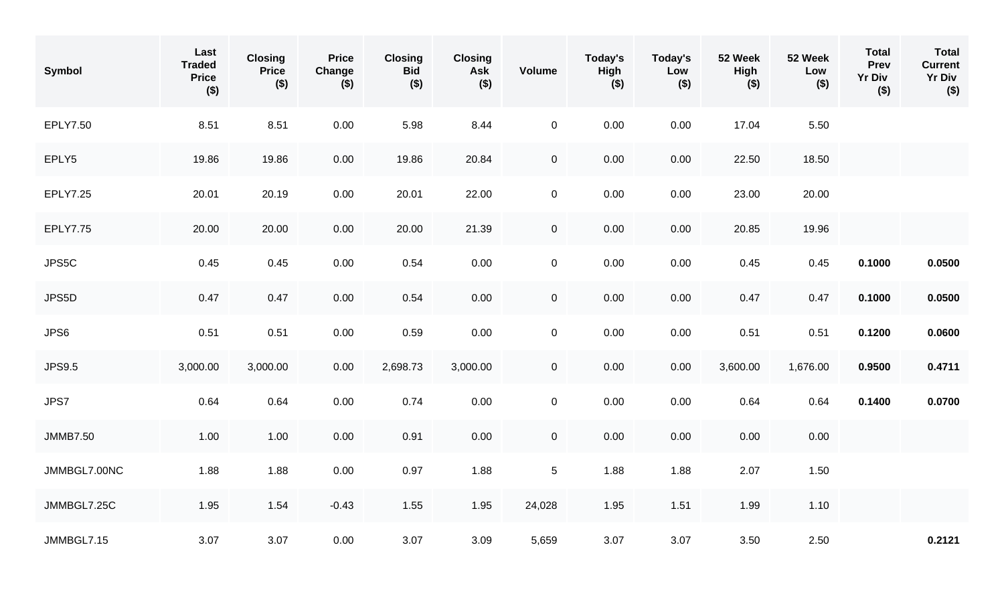| Symbol          | Last<br><b>Traded</b><br><b>Price</b><br>$($ \$) | <b>Closing</b><br><b>Price</b><br>$($ \$) | <b>Price</b><br>Change<br>$($ \$) | <b>Closing</b><br><b>Bid</b><br>$($ \$) | <b>Closing</b><br><b>Ask</b><br>$($ \$) | <b>Volume</b>       | Today's<br>High<br>$($ \$) | Today's<br>Low<br>$($ \$) | 52 Week<br>High<br>$($ \$) | 52 Week<br>Low<br>$($ \$) | <b>Total</b><br>Prev<br><b>Yr Div</b><br>$($ \$) | <b>Total</b><br><b>Current</b><br><b>Yr Div</b><br>$($ \$) |
|-----------------|--------------------------------------------------|-------------------------------------------|-----------------------------------|-----------------------------------------|-----------------------------------------|---------------------|----------------------------|---------------------------|----------------------------|---------------------------|--------------------------------------------------|------------------------------------------------------------|
| EPLY7.50        | 8.51                                             | 8.51                                      | 0.00                              | 5.98                                    | 8.44                                    | $\mathbf 0$         | 0.00                       | 0.00                      | 17.04                      | 5.50                      |                                                  |                                                            |
| EPLY5           | 19.86                                            | 19.86                                     | 0.00                              | 19.86                                   | 20.84                                   | $\mathsf{O}\xspace$ | 0.00                       | 0.00                      | 22.50                      | 18.50                     |                                                  |                                                            |
| EPLY7.25        | 20.01                                            | 20.19                                     | 0.00                              | 20.01                                   | 22.00                                   | $\boldsymbol{0}$    | 0.00                       | 0.00                      | 23.00                      | 20.00                     |                                                  |                                                            |
| EPLY7.75        | 20.00                                            | 20.00                                     | 0.00                              | 20.00                                   | 21.39                                   | $\mathsf{O}\xspace$ | 0.00                       | 0.00                      | 20.85                      | 19.96                     |                                                  |                                                            |
| JPS5C           | 0.45                                             | 0.45                                      | 0.00                              | 0.54                                    | 0.00                                    | $\boldsymbol{0}$    | 0.00                       | 0.00                      | 0.45                       | 0.45                      | 0.1000                                           | 0.0500                                                     |
| JPS5D           | 0.47                                             | 0.47                                      | 0.00                              | 0.54                                    | 0.00                                    | $\mathbf 0$         | 0.00                       | 0.00                      | 0.47                       | 0.47                      | 0.1000                                           | 0.0500                                                     |
| JPS6            | 0.51                                             | 0.51                                      | 0.00                              | 0.59                                    | 0.00                                    | $\boldsymbol{0}$    | 0.00                       | 0.00                      | 0.51                       | 0.51                      | 0.1200                                           | 0.0600                                                     |
| <b>JPS9.5</b>   | 3,000.00                                         | 3,000.00                                  | 0.00                              | 2,698.73                                | 3,000.00                                | $\boldsymbol{0}$    | 0.00                       | 0.00                      | 3,600.00                   | 1,676.00                  | 0.9500                                           | 0.4711                                                     |
| JPS7            | 0.64                                             | 0.64                                      | 0.00                              | 0.74                                    | 0.00                                    | $\pmb{0}$           | 0.00                       | 0.00                      | 0.64                       | 0.64                      | 0.1400                                           | 0.0700                                                     |
| <b>JMMB7.50</b> | 1.00                                             | 1.00                                      | 0.00                              | 0.91                                    | 0.00                                    | $\mathbf 0$         | 0.00                       | 0.00                      | 0.00                       | 0.00                      |                                                  |                                                            |
| JMMBGL7.00NC    | 1.88                                             | 1.88                                      | 0.00                              | 0.97                                    | 1.88                                    | $\sqrt{5}$          | 1.88                       | 1.88                      | 2.07                       | 1.50                      |                                                  |                                                            |
| JMMBGL7.25C     | 1.95                                             | 1.54                                      | $-0.43$                           | 1.55                                    | 1.95                                    | 24,028              | 1.95                       | 1.51                      | 1.99                       | 1.10                      |                                                  |                                                            |
| JMMBGL7.15      | 3.07                                             | 3.07                                      | 0.00                              | 3.07                                    | 3.09                                    | 5,659               | 3.07                       | 3.07                      | 3.50                       | 2.50                      |                                                  | 0.2121                                                     |